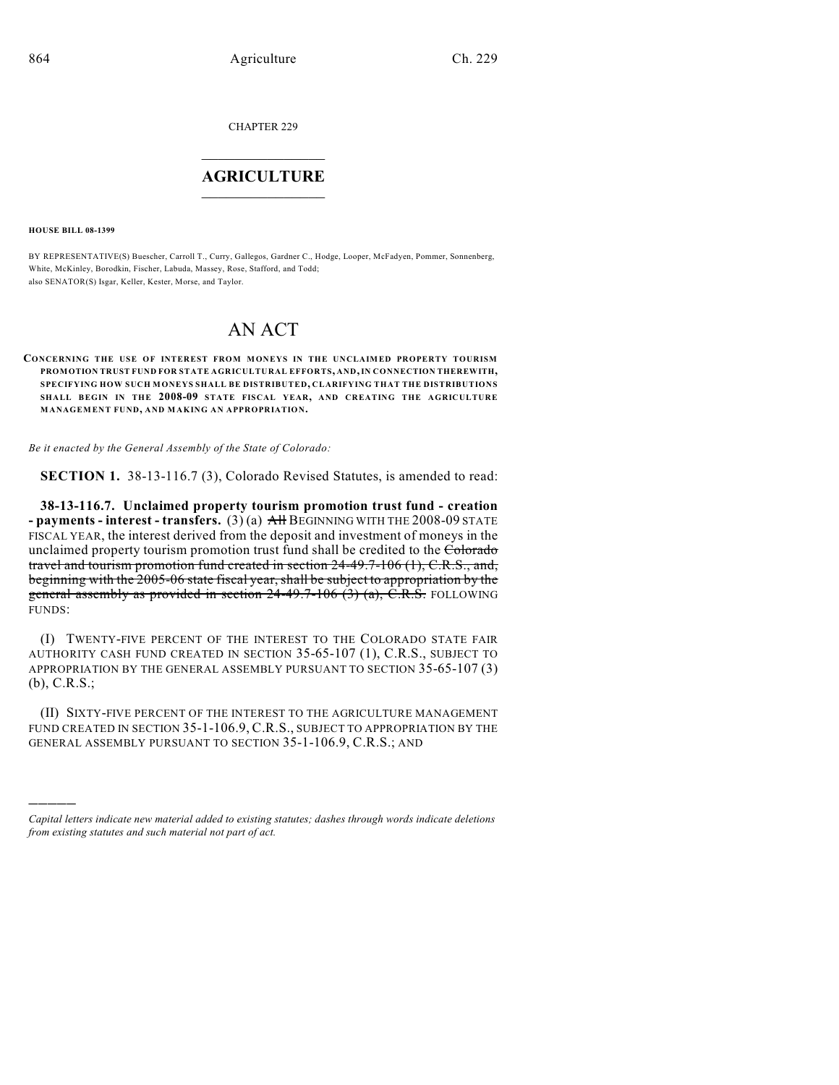CHAPTER 229

## $\mathcal{L}_\text{max}$  . The set of the set of the set of the set of the set of the set of the set of the set of the set of the set of the set of the set of the set of the set of the set of the set of the set of the set of the set **AGRICULTURE**  $\_$   $\_$   $\_$   $\_$   $\_$   $\_$   $\_$   $\_$

**HOUSE BILL 08-1399**

)))))

BY REPRESENTATIVE(S) Buescher, Carroll T., Curry, Gallegos, Gardner C., Hodge, Looper, McFadyen, Pommer, Sonnenberg, White, McKinley, Borodkin, Fischer, Labuda, Massey, Rose, Stafford, and Todd; also SENATOR(S) Isgar, Keller, Kester, Morse, and Taylor.

## AN ACT

**CONCERNING THE USE OF INTEREST FROM MONEYS IN THE UNCLAIMED PROPERTY TOURISM PROMOTION TRUST FUND FOR STATE AGRICULTURAL EFFORTS, AND, IN CONNECTION THEREWITH, SPECIFYING HOW SUCH MONEYS SHALL BE DISTRIBUTED, CLARIFYING THAT THE DISTRIBUTIONS SHALL BEGIN IN THE 2008-09 STATE FISCAL YEAR, AND CREATING THE AGRICULTURE MANAGEMENT FUND, AND MAKING AN APPROPRIATION.**

*Be it enacted by the General Assembly of the State of Colorado:*

**SECTION 1.** 38-13-116.7 (3), Colorado Revised Statutes, is amended to read:

**38-13-116.7. Unclaimed property tourism promotion trust fund - creation - payments - interest - transfers.** (3) (a) All BEGINNING WITH THE 2008-09 STATE FISCAL YEAR, the interest derived from the deposit and investment of moneys in the unclaimed property tourism promotion trust fund shall be credited to the Colorado travel and tourism promotion fund created in section 24-49.7-106 (1), C.R.S., and, beginning with the 2005-06 state fiscal year, shall be subject to appropriation by the general assembly as provided in section  $24-49.7-106$  (3) (a), C.R.S. FOLLOWING FUNDS:

(I) TWENTY-FIVE PERCENT OF THE INTEREST TO THE COLORADO STATE FAIR AUTHORITY CASH FUND CREATED IN SECTION 35-65-107 (1), C.R.S., SUBJECT TO APPROPRIATION BY THE GENERAL ASSEMBLY PURSUANT TO SECTION 35-65-107 (3) (b), C.R.S.;

(II) SIXTY-FIVE PERCENT OF THE INTEREST TO THE AGRICULTURE MANAGEMENT FUND CREATED IN SECTION 35-1-106.9, C.R.S., SUBJECT TO APPROPRIATION BY THE GENERAL ASSEMBLY PURSUANT TO SECTION 35-1-106.9, C.R.S.; AND

*Capital letters indicate new material added to existing statutes; dashes through words indicate deletions from existing statutes and such material not part of act.*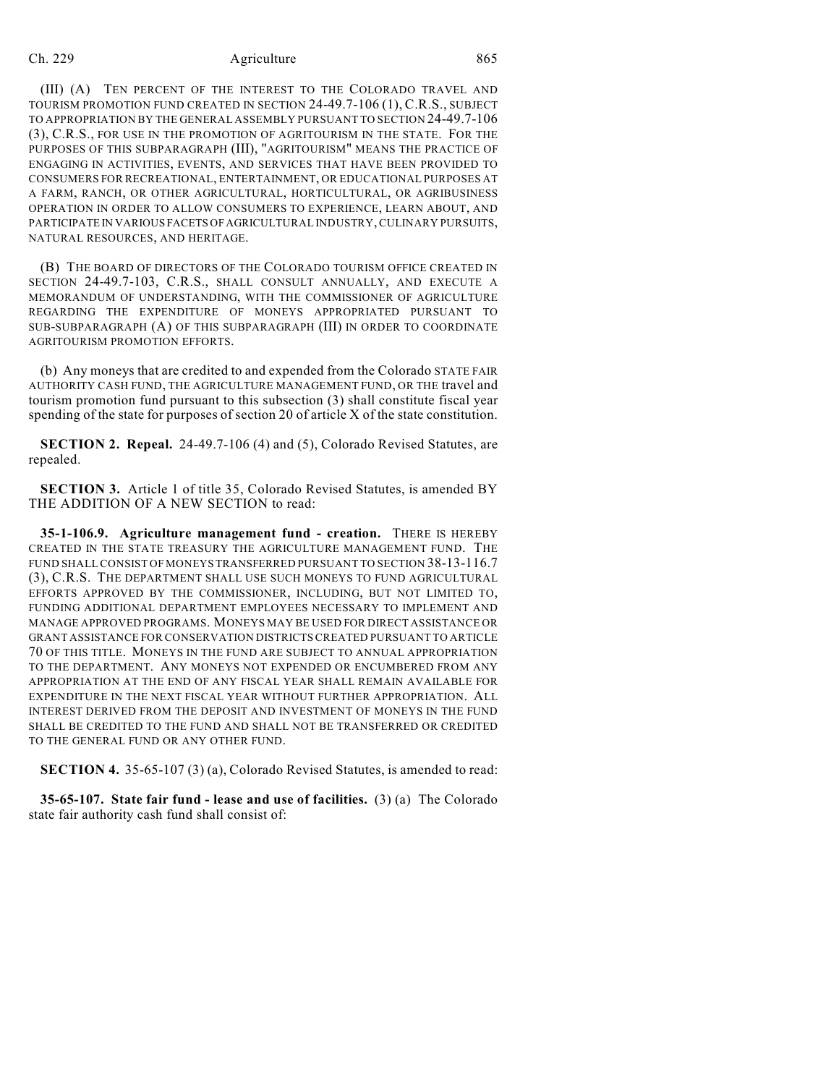## Ch. 229 Agriculture 865

(III) (A) TEN PERCENT OF THE INTEREST TO THE COLORADO TRAVEL AND TOURISM PROMOTION FUND CREATED IN SECTION 24-49.7-106 (1), C.R.S., SUBJECT TO APPROPRIATION BY THE GENERAL ASSEMBLY PURSUANT TO SECTION 24-49.7-106 (3), C.R.S., FOR USE IN THE PROMOTION OF AGRITOURISM IN THE STATE. FOR THE PURPOSES OF THIS SUBPARAGRAPH (III), "AGRITOURISM" MEANS THE PRACTICE OF ENGAGING IN ACTIVITIES, EVENTS, AND SERVICES THAT HAVE BEEN PROVIDED TO CONSUMERS FOR RECREATIONAL, ENTERTAINMENT, OR EDUCATIONAL PURPOSES AT A FARM, RANCH, OR OTHER AGRICULTURAL, HORTICULTURAL, OR AGRIBUSINESS OPERATION IN ORDER TO ALLOW CONSUMERS TO EXPERIENCE, LEARN ABOUT, AND PARTICIPATE IN VARIOUS FACETS OF AGRICULTURAL INDUSTRY, CULINARY PURSUITS, NATURAL RESOURCES, AND HERITAGE.

(B) THE BOARD OF DIRECTORS OF THE COLORADO TOURISM OFFICE CREATED IN SECTION 24-49.7-103, C.R.S., SHALL CONSULT ANNUALLY, AND EXECUTE A MEMORANDUM OF UNDERSTANDING, WITH THE COMMISSIONER OF AGRICULTURE REGARDING THE EXPENDITURE OF MONEYS APPROPRIATED PURSUANT TO SUB-SUBPARAGRAPH (A) OF THIS SUBPARAGRAPH (III) IN ORDER TO COORDINATE AGRITOURISM PROMOTION EFFORTS.

(b) Any moneys that are credited to and expended from the Colorado STATE FAIR AUTHORITY CASH FUND, THE AGRICULTURE MANAGEMENT FUND, OR THE travel and tourism promotion fund pursuant to this subsection (3) shall constitute fiscal year spending of the state for purposes of section 20 of article X of the state constitution.

**SECTION 2. Repeal.** 24-49.7-106 (4) and (5), Colorado Revised Statutes, are repealed.

**SECTION 3.** Article 1 of title 35, Colorado Revised Statutes, is amended BY THE ADDITION OF A NEW SECTION to read:

**35-1-106.9. Agriculture management fund - creation.** THERE IS HEREBY CREATED IN THE STATE TREASURY THE AGRICULTURE MANAGEMENT FUND. THE FUND SHALL CONSIST OF MONEYS TRANSFERRED PURSUANT TO SECTION 38-13-116.7 (3), C.R.S. THE DEPARTMENT SHALL USE SUCH MONEYS TO FUND AGRICULTURAL EFFORTS APPROVED BY THE COMMISSIONER, INCLUDING, BUT NOT LIMITED TO, FUNDING ADDITIONAL DEPARTMENT EMPLOYEES NECESSARY TO IMPLEMENT AND MANAGE APPROVED PROGRAMS. MONEYS MAY BE USED FOR DIRECT ASSISTANCE OR GRANT ASSISTANCE FOR CONSERVATION DISTRICTS CREATED PURSUANT TO ARTICLE 70 OF THIS TITLE. MONEYS IN THE FUND ARE SUBJECT TO ANNUAL APPROPRIATION TO THE DEPARTMENT. ANY MONEYS NOT EXPENDED OR ENCUMBERED FROM ANY APPROPRIATION AT THE END OF ANY FISCAL YEAR SHALL REMAIN AVAILABLE FOR EXPENDITURE IN THE NEXT FISCAL YEAR WITHOUT FURTHER APPROPRIATION. ALL INTEREST DERIVED FROM THE DEPOSIT AND INVESTMENT OF MONEYS IN THE FUND SHALL BE CREDITED TO THE FUND AND SHALL NOT BE TRANSFERRED OR CREDITED TO THE GENERAL FUND OR ANY OTHER FUND.

**SECTION 4.** 35-65-107 (3) (a), Colorado Revised Statutes, is amended to read:

**35-65-107. State fair fund - lease and use of facilities.** (3) (a) The Colorado state fair authority cash fund shall consist of: